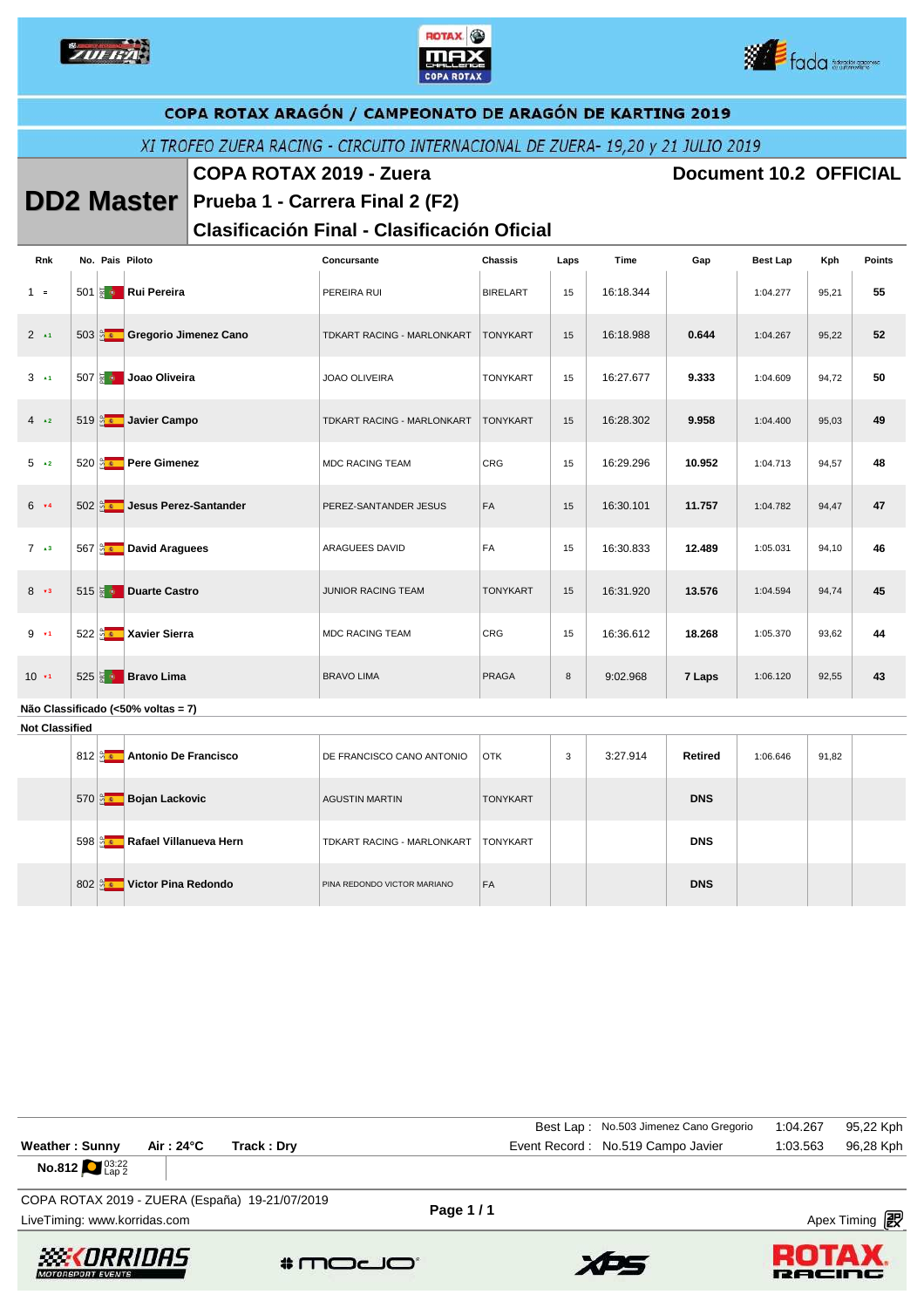





|                       | COPA ROTAX ARAGÓN / CAMPEONATO DE ARAGÓN DE KARTING 2019                        |  |                                        |  |                                                    |                 |      |           |                               |                 |       |               |
|-----------------------|---------------------------------------------------------------------------------|--|----------------------------------------|--|----------------------------------------------------|-----------------|------|-----------|-------------------------------|-----------------|-------|---------------|
|                       | XI TROFEO ZUERA RACING - CIRCUITO INTERNACIONAL DE ZUERA- 19,20 y 21 JULIO 2019 |  |                                        |  |                                                    |                 |      |           |                               |                 |       |               |
|                       | <b>COPA ROTAX 2019 - Zuera</b>                                                  |  |                                        |  |                                                    |                 |      |           | <b>Document 10.2 OFFICIAL</b> |                 |       |               |
|                       |                                                                                 |  |                                        |  | <b>DD2 Master</b> Prueba 1 - Carrera Final 2 (F2)  |                 |      |           |                               |                 |       |               |
|                       |                                                                                 |  |                                        |  | <b>Clasificación Final - Clasificación Oficial</b> |                 |      |           |                               |                 |       |               |
| Rnk                   |                                                                                 |  | No. Pais Piloto                        |  | Concursante                                        | <b>Chassis</b>  | Laps | Time      | Gap                           | <b>Best Lap</b> | Kph   | <b>Points</b> |
| $1 =$                 |                                                                                 |  | 501 <b>Rui Pereira</b>                 |  | PEREIRA RUI                                        | <b>BIRELART</b> | 15   | 16:18.344 |                               | 1:04.277        | 95,21 | 55            |
| $2 \rightarrow 1$     |                                                                                 |  | 503 <b>&amp; Gregorio Jimenez Cano</b> |  | TDKART RACING - MARLONKART                         | <b>TONYKART</b> | 15   | 16:18.988 | 0.644                         | 1:04.267        | 95,22 | 52            |
| $3 \rightarrow 1$     |                                                                                 |  | 507 & Joao Oliveira                    |  | <b>JOAO OLIVEIRA</b>                               | <b>TONYKART</b> | 15   | 16:27.677 | 9.333                         | 1:04.609        | 94,72 | 50            |
| $4 \times 2$          |                                                                                 |  | 519 <u>a Javier</u> Campo              |  | TDKART RACING - MARLONKART                         | <b>TONYKART</b> | 15   | 16:28.302 | 9.958                         | 1:04.400        | 95,03 | 49            |
| $5 \rightarrow 2$     |                                                                                 |  | 520 <b>Az Pere Gimenez</b>             |  | <b>MDC RACING TEAM</b>                             | CRG             | 15   | 16:29.296 | 10.952                        | 1:04.713        | 94,57 | 48            |
| $6 - x4$              |                                                                                 |  | 502 <b>Jesus Perez-Santander</b>       |  | PEREZ-SANTANDER JESUS                              | FA              | 15   | 16:30.101 | 11.757                        | 1:04.782        | 94,47 | 47            |
| $7 \rightarrow 3$     |                                                                                 |  | 567 a David Araguees                   |  | ARAGUEES DAVID                                     | FA              | 15   | 16:30.833 | 12.489                        | 1:05.031        | 94,10 | 46            |
| $8 - 3$               |                                                                                 |  | 515 <b>&amp; Duarte Castro</b>         |  | JUNIOR RACING TEAM                                 | <b>TONYKART</b> | 15   | 16:31.920 | 13.576                        | 1:04.594        | 94,74 | 45            |
| $9 - 1$               |                                                                                 |  | 522 a Xavier Sierra                    |  | <b>MDC RACING TEAM</b>                             | CRG             | 15   | 16:36.612 | 18.268                        | 1:05.370        | 93,62 | 44            |
| 10.71                 |                                                                                 |  | 525 $\frac{1}{3}$ <b>Bravo Lima</b>    |  | <b>BRAVO LIMA</b>                                  | <b>PRAGA</b>    | 8    | 9:02.968  | 7 Laps                        | 1:06.120        | 92,55 | 43            |
| <b>Not Classified</b> |                                                                                 |  | Não Classificado (<50% voltas = 7)     |  |                                                    |                 |      |           |                               |                 |       |               |
|                       |                                                                                 |  | 812 a Antonio De Francisco             |  | DE FRANCISCO CANO ANTONIO                          | <b>OTK</b>      | 3    | 3:27.914  | <b>Retired</b>                | 1:06.646        | 91,82 |               |
|                       |                                                                                 |  | 570 <b>&amp; Bojan Lackovic</b>        |  | <b>AGUSTIN MARTIN</b>                              | <b>TONYKART</b> |      |           | <b>DNS</b>                    |                 |       |               |
|                       |                                                                                 |  | 598 <b>BET</b> Rafael Villanueva Hern  |  | TDKART RACING - MARLONKART                         | <b>TONYKART</b> |      |           | <b>DNS</b>                    |                 |       |               |
|                       |                                                                                 |  | 802 a Victor Pina Redondo              |  | PINA REDONDO VICTOR MARIANO                        | FA              |      |           | <b>DNS</b>                    |                 |       |               |

| <b>Weather: Sunny</b><br>Air : 24°C<br>Track: Dry<br><b>No.812</b> $^{03:22}_{130.2}$ |          | Best Lap: No.503 Jimenez Cano Gregorio<br>Event Record: No.519 Campo Javier | 1:04.267<br>1:03.563 | 95,22 Kph<br>96,28 Kph |
|---------------------------------------------------------------------------------------|----------|-----------------------------------------------------------------------------|----------------------|------------------------|
| COPA ROTAX 2019 - ZUERA (España) 19-21/07/2019<br>LiveTiming: www.korridas.com        | Page 1/1 |                                                                             |                      | Apex Timing 图          |







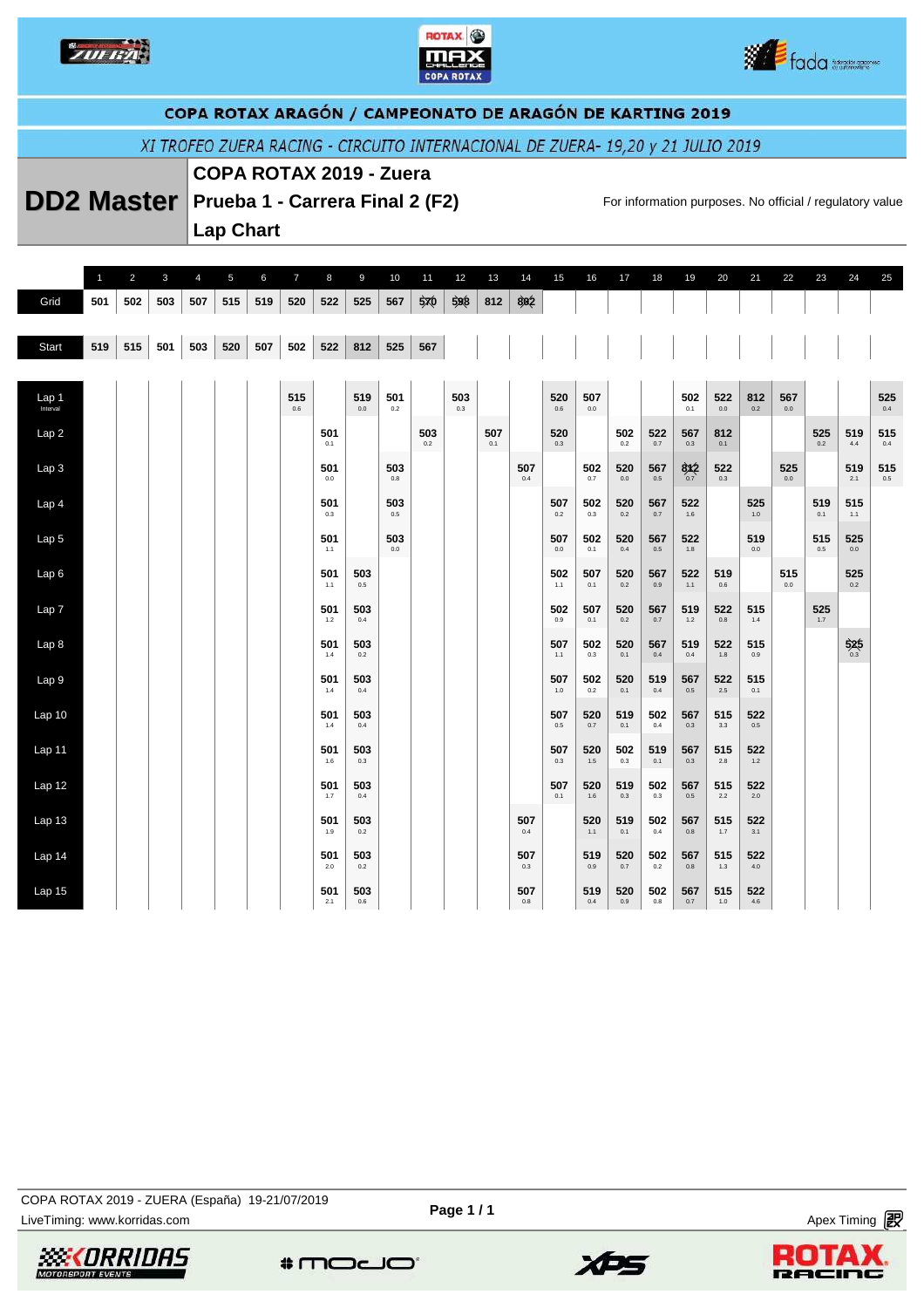





## COPA ROTAX ARAGÓN / CAMPEONATO DE ARAGÓN DE KARTING 2019

XI TROFEO ZUERA RACING - CIRCUITO INTERNACIONAL DE ZUERA- 19,20 y 21 JULIO 2019

### **COPA ROTAX 2019 - Zuera**

**DD2 Master** Prueba 1 - Carrera Final 2 (F2) For information purposes. No official / regulatory value

**Lap Chart** 

|                   | $\overline{1}$ | $\overline{2}$ | $\mathbf{3}$ | $\overline{4}$ | 5   | 6   | $\overline{7}$ | 8          | 9          | 10         | 11         | 12         | 13         | 14         | 15         | 16         | 17         | 18         | 19         | 20         | 21         | 22         | 23         | 24                | 25             |
|-------------------|----------------|----------------|--------------|----------------|-----|-----|----------------|------------|------------|------------|------------|------------|------------|------------|------------|------------|------------|------------|------------|------------|------------|------------|------------|-------------------|----------------|
| Grid              | 501            | 502            | 503          | 507            | 515 | 519 | 520            | 522        | 525        | 567        | 570        | 598        | 812        | 802        |            |            |            |            |            |            |            |            |            |                   |                |
| Start             | 519            | 515            | 501          | 503            | 520 | 507 | 502            | 522        | 812        | 525        | 567        |            |            |            |            |            |            |            |            |            |            |            |            |                   |                |
|                   |                |                |              |                |     |     |                |            |            |            |            |            |            |            |            |            |            |            |            |            |            |            |            |                   |                |
| Lap <sub>1</sub>  |                |                |              |                |     |     | 515<br>0.6     |            | 519<br>0.0 | 501<br>0.2 |            | 503<br>0.3 |            |            | 520<br>0.6 | 507<br>0.0 |            |            | 502<br>0.1 | 522<br>0.0 | 812<br>0.2 | 567<br>0.0 |            |                   | 525<br>0.4     |
| Lap <sub>2</sub>  |                |                |              |                |     |     |                | 501<br>0.1 |            |            | 503<br>0.2 |            | 507<br>0.1 |            | 520<br>0.3 |            | 502<br>0.2 | 522<br>0.7 | 567<br>0.3 | 812<br>0.1 |            |            | 525<br>0.2 | 519<br>4.4        | 515<br>0.4     |
| Lap <sub>3</sub>  |                |                |              |                |     |     |                | 501<br>0.0 |            | 503<br>0.8 |            |            |            | 507<br>0.4 |            | 502<br>0.7 | 520<br>0.0 | 567<br>0.5 | 8x2        | 522<br>0.3 |            | 525<br>0.0 |            | 519<br>2.1        | 515<br>$0.5\,$ |
| Lap <sub>4</sub>  |                |                |              |                |     |     |                | 501<br>0.3 |            | 503<br>0.5 |            |            |            |            | 507<br>0.2 | 502<br>0.3 | 520<br>0.2 | 567<br>0.7 | 522<br>1.6 |            | 525<br>1.0 |            | 519<br>0.1 | 515<br>1.1        |                |
| Lap <sub>5</sub>  |                |                |              |                |     |     |                | 501<br>1.1 |            | 503<br>0.0 |            |            |            |            | 507<br>0.0 | 502<br>0.1 | 520<br>0.4 | 567<br>0.5 | 522<br>1.8 |            | 519<br>0.0 |            | 515<br>0.5 | 525<br>0.0        |                |
| Lap6              |                |                |              |                |     |     |                | 501<br>1.1 | 503<br>0.5 |            |            |            |            |            | 502<br>1.1 | 507<br>0.1 | 520<br>0.2 | 567<br>0.9 | 522<br>1.1 | 519<br>0.6 |            | 515<br>0.0 |            | 525<br>0.2        |                |
| Lap 7             |                |                |              |                |     |     |                | 501<br>1.2 | 503<br>0.4 |            |            |            |            |            | 502<br>0.9 | 507<br>0.1 | 520<br>0.2 | 567<br>0.7 | 519<br>1.2 | 522<br>0.8 | 515<br>1.4 |            | 525<br>1.7 |                   |                |
| Lap 8             |                |                |              |                |     |     |                | 501<br>1.4 | 503<br>0.2 |            |            |            |            |            | 507<br>1.1 | 502<br>0.3 | 520<br>0.1 | 567<br>0.4 | 519<br>0.4 | 522<br>1.8 | 515<br>0.9 |            |            | $\frac{525}{0.3}$ |                |
| Lap 9             |                |                |              |                |     |     |                | 501<br>1.4 | 503<br>0.4 |            |            |            |            |            | 507<br>1.0 | 502<br>0.2 | 520<br>0.1 | 519<br>0.4 | 567<br>0.5 | 522<br>2.5 | 515<br>0.1 |            |            |                   |                |
| Lap 10            |                |                |              |                |     |     |                | 501<br>1.4 | 503<br>0.4 |            |            |            |            |            | 507<br>0.5 | 520<br>0.7 | 519<br>0.1 | 502<br>0.4 | 567<br>0.3 | 515<br>3.3 | 522<br>0.5 |            |            |                   |                |
| Lap 11            |                |                |              |                |     |     |                | 501<br>1.6 | 503<br>0.3 |            |            |            |            |            | 507<br>0.3 | 520<br>1.5 | 502<br>0.3 | 519<br>0.1 | 567<br>0.3 | 515<br>2.8 | 522<br>1.2 |            |            |                   |                |
| Lap 12            |                |                |              |                |     |     |                | 501<br>1.7 | 503<br>0.4 |            |            |            |            |            | 507<br>0.1 | 520<br>1.6 | 519<br>0.3 | 502<br>0.3 | 567<br>0.5 | 515<br>2.2 | 522<br>2.0 |            |            |                   |                |
| Lap <sub>13</sub> |                |                |              |                |     |     |                | 501<br>1.9 | 503<br>0.2 |            |            |            |            | 507<br>0.4 |            | 520<br>1.1 | 519<br>0.1 | 502<br>0.4 | 567<br>0.8 | 515<br>1.7 | 522<br>3.1 |            |            |                   |                |
| Lap 14            |                |                |              |                |     |     |                | 501<br>2.0 | 503<br>0.2 |            |            |            |            | 507<br>0.3 |            | 519<br>0.9 | 520<br>0.7 | 502<br>0.2 | 567<br>0.8 | 515<br>1.3 | 522<br>4.0 |            |            |                   |                |
| Lap 15            |                |                |              |                |     |     |                | 501<br>2.1 | 503<br>0.6 |            |            |            |            | 507<br>0.8 |            | 519<br>0.4 | 520<br>0.9 | 502<br>0.8 | 567<br>0.7 | 515<br>1.0 | 522<br>4.6 |            |            |                   |                |

**Page 1 / 1**







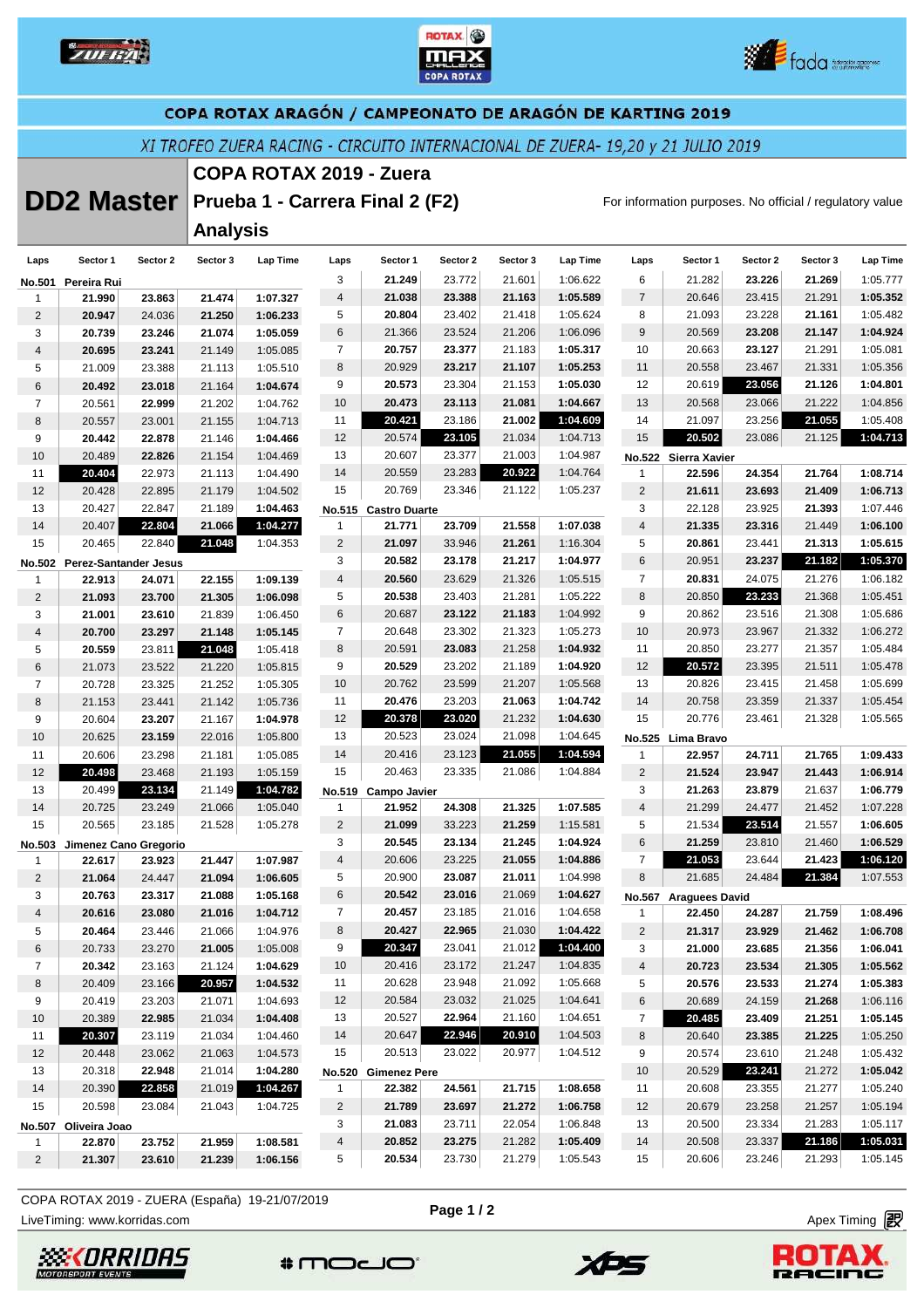





### COPA ROTAX ARAGÓN / CAMPEONATO DE ARAGÓN DE KARTING 2019

XI TROFEO ZUERA RACING - CIRCUITO INTERNACIONAL DE ZUERA- 19,20 y 21 JULIO 2019

# **COPA ROTAX 2019 - Zuera**

# **DD2 Master** Prueba 1 - Carrera Final 2 (F2) For information purposes. No official / regulatory value

**Analysis** 

| Laps            | Sector 1                     | Sector 2 | Sector 3 | Lap Time | Laps                    | Sector 1             | Sector 2 | Sector 3 | Lap Time | Laps           | Sector 1              | Sector 2 | Sector 3 | Lap Time |
|-----------------|------------------------------|----------|----------|----------|-------------------------|----------------------|----------|----------|----------|----------------|-----------------------|----------|----------|----------|
|                 | No.501 Pereira Rui           |          |          |          | 3                       | 21.249               | 23.772   | 21.601   | 1:06.622 | 6              | 21.282                | 23.226   | 21.269   | 1:05.777 |
| 1               | 21.990                       | 23.863   | 21.474   | 1:07.327 | $\overline{4}$          | 21.038               | 23.388   | 21.163   | 1:05.589 | $\overline{7}$ | 20.646                | 23.415   | 21.291   | 1:05.352 |
| $\overline{2}$  | 20.947                       | 24.036   | 21.250   | 1:06.233 | 5                       | 20.804               | 23.402   | 21.418   | 1:05.624 | 8              | 21.093                | 23.228   | 21.161   | 1:05.482 |
| 3               | 20.739                       | 23.246   | 21.074   | 1:05.059 | 6                       | 21.366               | 23.524   | 21.206   | 1:06.096 | $9\,$          | 20.569                | 23.208   | 21.147   | 1:04.924 |
| 4               | 20.695                       | 23.241   | 21.149   | 1:05.085 | $\overline{7}$          | 20.757               | 23.377   | 21.183   | 1:05.317 | 10             | 20.663                | 23.127   | 21.291   | 1:05.081 |
| 5               | 21.009                       | 23.388   | 21.113   | 1:05.510 | 8                       | 20.929               | 23.217   | 21.107   | 1:05.253 | 11             | 20.558                | 23.467   | 21.331   | 1:05.356 |
| 6               | 20.492                       | 23.018   | 21.164   | 1:04.674 | 9                       | 20.573               | 23.304   | 21.153   | 1:05.030 | 12             | 20.619                | 23.056   | 21.126   | 1:04.801 |
| $\overline{7}$  | 20.561                       | 22.999   | 21.202   | 1:04.762 | 10                      | 20.473               | 23.113   | 21.081   | 1:04.667 | 13             | 20.568                | 23.066   | 21.222   | 1:04.856 |
| 8               | 20.557                       | 23.001   | 21.155   | 1:04.713 | 11                      | 20.421               | 23.186   | 21.002   | 1:04.609 | 14             | 21.097                | 23.256   | 21.055   | 1:05.408 |
| 9               | 20.442                       | 22.878   | 21.146   | 1:04.466 | 12                      | 20.574               | 23.105   | 21.034   | 1:04.713 | 15             | 20.502                | 23.086   | 21.125   | 1:04.713 |
| 10              | 20.489                       | 22.826   | 21.154   | 1:04.469 | 13                      | 20.607               | 23.377   | 21.003   | 1:04.987 |                | No.522 Sierra Xavier  |          |          |          |
| 11              | 20.404                       | 22.973   | 21.113   | 1:04.490 | 14                      | 20.559               | 23.283   | 20.922   | 1:04.764 | $\mathbf{1}$   | 22.596                | 24.354   | 21.764   | 1:08.714 |
| 12              | 20.428                       | 22.895   | 21.179   | 1:04.502 | 15                      | 20.769               | 23.346   | 21.122   | 1:05.237 | $\sqrt{2}$     | 21.611                | 23.693   | 21.409   | 1:06.713 |
| 13              | 20.427                       | 22.847   | 21.189   | 1:04.463 |                         | No.515 Castro Duarte |          |          |          | 3              | 22.128                | 23.925   | 21.393   | 1:07.446 |
| 14              | 20.407                       | 22.804   | 21.066   | 1:04.277 | 1                       | 21.771               | 23.709   | 21.558   | 1:07.038 | 4              | 21.335                | 23.316   | 21.449   | 1:06.100 |
| 15              | 20.465                       | 22.840   | 21.048   | 1:04.353 | $\overline{2}$          | 21.097               | 33.946   | 21.261   | 1:16.304 | 5              | 20.861                | 23.441   | 21.313   | 1:05.615 |
|                 | No.502 Perez-Santander Jesus |          |          |          | 3                       | 20.582               | 23.178   | 21.217   | 1:04.977 | 6              | 20.951                | 23.237   | 21.182   | 1:05.370 |
| 1               | 22.913                       | 24.071   | 22.155   | 1:09.139 | $\overline{\mathbf{4}}$ | 20.560               | 23.629   | 21.326   | 1:05.515 | $\overline{7}$ | 20.831                | 24.075   | 21.276   | 1:06.182 |
| $\overline{c}$  | 21.093                       | 23.700   | 21.305   | 1:06.098 | 5                       | 20.538               | 23.403   | 21.281   | 1:05.222 | 8              | 20.850                | 23.233   | 21.368   | 1:05.451 |
| 3               | 21.001                       | 23.610   | 21.839   | 1:06.450 | 6                       | 20.687               | 23.122   | 21.183   | 1:04.992 | 9              | 20.862                | 23.516   | 21.308   | 1:05.686 |
| $\overline{4}$  | 20.700                       | 23.297   | 21.148   | 1:05.145 | $\overline{7}$          | 20.648               | 23.302   | 21.323   | 1:05.273 | 10             | 20.973                | 23.967   | 21.332   | 1:06.272 |
| 5               | 20.559                       | 23.811   | 21.048   | 1:05.418 | 8                       | 20.591               | 23.083   | 21.258   | 1:04.932 | 11             | 20.850                | 23.277   | 21.357   | 1:05.484 |
| 6               | 21.073                       | 23.522   | 21.220   | 1:05.815 | 9                       | 20.529               | 23.202   | 21.189   | 1:04.920 | 12             | 20.572                | 23.395   | 21.511   | 1:05.478 |
| $\overline{7}$  | 20.728                       | 23.325   | 21.252   | 1:05.305 | 10                      | 20.762               | 23.599   | 21.207   | 1:05.568 | 13             | 20.826                | 23.415   | 21.458   | 1:05.699 |
| 8               | 21.153                       | 23.441   | 21.142   | 1:05.736 | 11                      | 20.476               | 23.203   | 21.063   | 1:04.742 | 14             | 20.758                | 23.359   | 21.337   | 1:05.454 |
| 9               | 20.604                       | 23.207   | 21.167   | 1:04.978 | 12                      | 20.378               | 23.020   | 21.232   | 1:04.630 | 15             | 20.776                | 23.461   | 21.328   | 1:05.565 |
| 10              | 20.625                       | 23.159   | 22.016   | 1:05.800 | 13                      | 20.523               | 23.024   | 21.098   | 1:04.645 |                | No.525 Lima Bravo     |          |          |          |
| 11              | 20.606                       | 23.298   | 21.181   | 1:05.085 | 14                      | 20.416               | 23.123   | 21.055   | 1:04.594 | $\mathbf{1}$   | 22.957                | 24.711   | 21.765   | 1:09.433 |
| 12              | 20.498                       | 23.468   | 21.193   | 1:05.159 | 15                      | 20.463               | 23.335   | 21.086   | 1:04.884 | $\overline{2}$ | 21.524                | 23.947   | 21.443   | 1:06.914 |
| 13              | 20.499                       | 23.134   | 21.149   | 1:04.782 | No.519                  | Campo Javier         |          |          |          | 3              | 21.263                | 23.879   | 21.637   | 1:06.779 |
| 14              | 20.725                       | 23.249   | 21.066   | 1:05.040 | $\mathbf{1}$            | 21.952               | 24.308   | 21.325   | 1:07.585 | $\overline{4}$ | 21.299                | 24.477   | 21.452   | 1:07.228 |
| 15              | 20.565                       | 23.185   | 21.528   | 1:05.278 | $\overline{c}$          | 21.099               | 33.223   | 21.259   | 1:15.581 | 5              | 21.534                | 23.514   | 21.557   | 1:06.605 |
|                 | No.503 Jimenez Cano Gregorio |          |          |          | 3                       | 20.545               | 23.134   | 21.245   | 1:04.924 | 6              | 21.259                | 23.810   | 21.460   | 1:06.529 |
| 1               | 22.617                       | 23.923   | 21.447   | 1:07.987 | $\overline{4}$          | 20.606               | 23.225   | 21.055   | 1:04.886 | $\overline{7}$ | 21.053                | 23.644   | 21.423   | 1:06.120 |
| $\overline{2}$  | 21.064                       | 24.447   | 21.094   | 1:06.605 | 5                       | 20.900               | 23.087   | 21.011   | 1:04.998 | 8              | 21.685                | 24.484   | 21.384   | 1:07.553 |
| 3               | 20.763                       | 23.317   | 21.088   | 1:05.168 | 6                       | 20.542               | 23.016   | 21.069   | 1:04.627 |                | No.567 Araguees David |          |          |          |
| 4               | 20.616                       | 23.080   | 21.016   | 1:04.712 | $\overline{7}$          | 20.457               | 23.185   | 21.016   | 1:04.658 | 1              | 22.450                | 24.287   | 21.759   | 1:08.496 |
| 5               | 20.464                       | 23.446   | 21.066   | 1:04.976 | 8                       | 20.427               | 22.965   | 21.030   | 1:04.422 | $\overline{2}$ | 21.317                | 23.929   | 21.462   | 1:06.708 |
| 6               | 20.733                       | 23.270   | 21.005   | 1:05.008 | 9                       | 20.347               | 23.041   | 21.012   | 1:04.400 | 3              | 21.000                | 23.685   | 21.356   | 1:06.041 |
| $\overline{7}$  | 20.342                       | 23.163   | 21.124   | 1:04.629 | 10                      | 20.416               | 23.172   | 21.247   | 1:04.835 | 4              | 20.723                | 23.534   | 21.305   | 1:05.562 |
| 8               | 20.409                       | 23.166   | 20.957   | 1:04.532 | 11                      | 20.628               | 23.948   | 21.092   | 1:05.668 | 5              | 20.576                | 23.533   | 21.274   | 1:05.383 |
| 9               | 20.419                       | 23.203   | 21.071   | 1:04.693 | 12                      | 20.584               | 23.032   | 21.025   | 1:04.641 | 6              | 20.689                | 24.159   | 21.268   | 1:06.116 |
| 10 <sup>°</sup> | 20.389                       | 22.985   | 21.034   | 1:04.408 | 13                      | 20.527               | 22.964   | 21.160   | 1:04.651 | $\overline{7}$ | 20.485                | 23.409   | 21.251   | 1:05.145 |
| 11              | 20.307                       | 23.119   | 21.034   | 1:04.460 | 14                      | 20.647               | 22.946   | 20.910   | 1:04.503 | 8              | 20.640                | 23.385   | 21.225   | 1:05.250 |
| 12 <sup>2</sup> | 20.448                       | 23.062   | 21.063   | 1:04.573 | 15                      | 20.513               | 23.022   | 20.977   | 1:04.512 | 9              | 20.574                | 23.610   | 21.248   | 1:05.432 |
| 13              | 20.318                       | 22.948   | 21.014   | 1:04.280 |                         | No.520 Gimenez Pere  |          |          |          | 10             | 20.529                | 23.241   | 21.272   | 1:05.042 |
| 14              | 20.390                       | 22.858   | 21.019   | 1:04.267 | $\mathbf{1}$            | 22.382               | 24.561   | 21.715   | 1:08.658 | 11             | 20.608                | 23.355   | 21.277   | 1:05.240 |
| 15              | 20.598                       | 23.084   | 21.043   | 1:04.725 | $\overline{2}$          | 21.789               | 23.697   | 21.272   | 1:06.758 | 12             | 20.679                | 23.258   | 21.257   | 1:05.194 |
|                 | No.507 Oliveira Joao         |          |          |          | 3                       | 21.083               | 23.711   | 22.054   | 1:06.848 | 13             | 20.500                | 23.334   | 21.283   | 1:05.117 |
| 1               | 22.870                       | 23.752   | 21.959   | 1:08.581 | 4                       | 20.852               | 23.275   | 21.282   | 1:05.409 | 14             | 20.508                | 23.337   | 21.186   | 1:05.031 |
| $\overline{2}$  | 21.307                       | 23.610   | 21.239   | 1:06.156 | 5                       | 20.534               | 23.730   | 21.279   | 1:05.543 | 15             | 20.606                | 23.246   | 21.293   | 1:05.145 |
|                 |                              |          |          |          |                         |                      |          |          |          |                |                       |          |          |          |

COPA ROTAX 2019 - ZUERA (España) 19-21/07/2019

LiveTiming: www.korridas.com **Apex Timing** and Apex Timing and Apex Timing and Apex Timing and Apex Timing and Apex Timing and Apex Timing and Apex Timing and Apex Timing and Apex Timing and Apex Timing and Apex Timing an





 $*$ modo

XPS

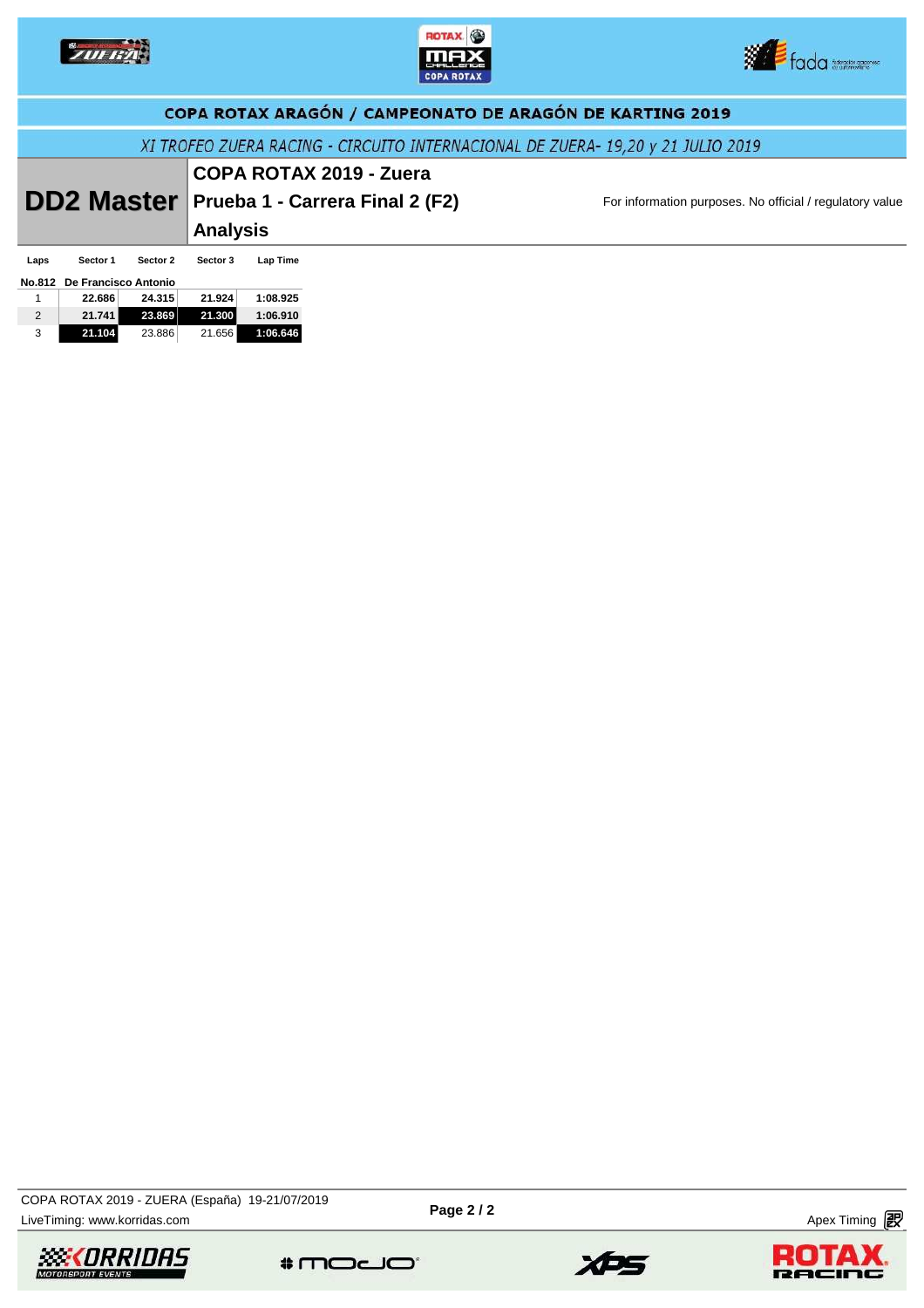





|      | COPA ROTAX ARAGÓN / CAMPEONATO DE ARAGÓN DE KARTING 2019                        |          |                 |          |                                 |                                                          |  |  |  |  |  |
|------|---------------------------------------------------------------------------------|----------|-----------------|----------|---------------------------------|----------------------------------------------------------|--|--|--|--|--|
|      | XI TROFEO ZUERA RACING - CIRCUITO INTERNACIONAL DE ZUERA- 19,20 y 21 JULIO 2019 |          |                 |          |                                 |                                                          |  |  |  |  |  |
|      |                                                                                 |          |                 |          | <b>COPA ROTAX 2019 - Zuera</b>  |                                                          |  |  |  |  |  |
|      | <b>DD2 Master</b>                                                               |          |                 |          | Prueba 1 - Carrera Final 2 (F2) | For information purposes. No official / regulatory value |  |  |  |  |  |
|      |                                                                                 |          | <b>Analysis</b> |          |                                 |                                                          |  |  |  |  |  |
| Laps | Sector 1                                                                        | Sector 2 | Sector 3        | Lap Time |                                 |                                                          |  |  |  |  |  |
|      | No.812 De Francisco Antonio                                                     |          |                 |          |                                 |                                                          |  |  |  |  |  |
|      | 22.686                                                                          | 24.315   | 21.924          | 1:08.925 |                                 |                                                          |  |  |  |  |  |
| 2    | 21.741                                                                          | 23.869   | 21.300          | 1:06.910 |                                 |                                                          |  |  |  |  |  |
| 3    | 21.104                                                                          | 23.886   | 21.656          | 1:06.646 |                                 |                                                          |  |  |  |  |  |

LiveTiming: www.korridas.com **Page 2/2** Page 2/2 Apex Timing **in Apex Timing** in Apex Timing **in Apex Timing** in Apex Timing **in Apex Timing** in Apex Timing **in Apex Timing** in Apex Timing **in Apex Timing** in Apex Timing COPA ROTAX 2019 - ZUERA (España) 19-21/07/2019